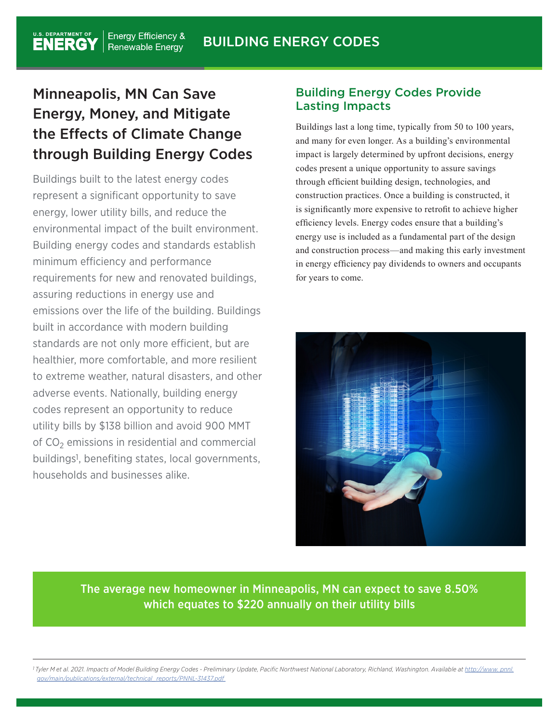# Minneapolis, MN Can Save Energy, Money, and Mitigate the Effects of Climate Change through Building Energy Codes

Buildings built to the latest energy codes represent a significant opportunity to save energy, lower utility bills, and reduce the environmental impact of the built environment. Building energy codes and standards establish minimum efficiency and performance requirements for new and renovated buildings, assuring reductions in energy use and emissions over the life of the building. Buildings built in accordance with modern building standards are not only more efficient, but are healthier, more comfortable, and more resilient to extreme weather, natural disasters, and other adverse events. Nationally, building energy codes represent an opportunity to reduce utility bills by \$138 billion and avoid 900 MMT of  $CO<sub>2</sub>$  emissions in residential and commercial buildings1, benefiting states, local governments, households and businesses alike.

# Building Energy Codes Provide Lasting Impacts

Buildings last a long time, typically from 50 to 100 years, and many for even longer. As a building's environmental impact is largely determined by upfront decisions, energy codes present a unique opportunity to assure savings through efficient building design, technologies, and construction practices. Once a building is constructed, it is significantly more expensive to retrofit to achieve higher efficiency levels. Energy codes ensure that a building's energy use is included as a fundamental part of the design and construction process—and making this early investment in energy efficiency pay dividends to owners and occupants for years to come.



The average new homeowner in Minneapolis, MN can expect to save 8.50% which equates to \$220 annually on their utility bills

*1 Tyler M et al. 2021. Impacts of Model Building Energy Codes - Preliminary Update, Pacific Northwest National Laboratory, Richland, Washington. Available at http://www. pnnl. gov/main/publications/external/technical\_reports/PNNL-31437.pdf*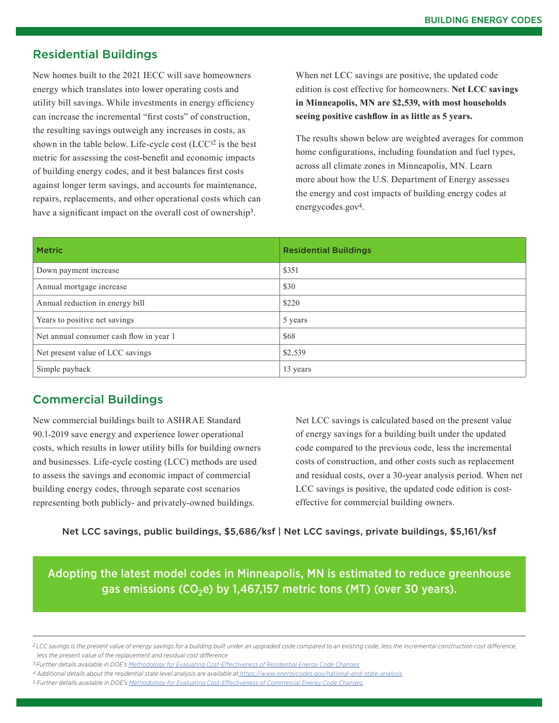### Residential Buildings

New homes built to the 2021 IECC will save homeowners energy which translates into lower operating costs and utility bill savings. While investments in energy efficiency can increase the incremental "first costs" of construction, the resulting savings outweigh any increases in costs, as shown in the table below. Life-cycle cost  $(LCC)^2$  is the best metric for assessing the cost-benefit and economic impacts of building energy codes, and it best balances first costs against longer term savings, and accounts for maintenance, repairs, replacements, and other operational costs which can have a significant impact on the overall cost of ownership<sup>3</sup>.

When net LCC savings are positive, the updated code edition is cost effective for homeowners. **Net LCC savings in Minneapolis, MN are \$2,539, with most households seeing positive cashflow in as little as 5 years.** 

The results shown below are weighted averages for common home configurations, including foundation and fuel types, across all climate zones in Minneapolis, MN. Learn more about how the U.S. Department of Energy assesses the energy and cost impacts of building energy codes at energycodes.gov4.

| <b>Metric</b>                           | <b>Residential Buildings</b> |
|-----------------------------------------|------------------------------|
| Down payment increase                   | \$351                        |
| Annual mortgage increase                | \$30                         |
| Annual reduction in energy bill         | \$220                        |
| Years to positive net savings           | 5 years                      |
| Net annual consumer cash flow in year 1 | \$68                         |
| Net present value of LCC savings        | \$2,539                      |
| Simple payback                          | 13 years                     |

### Commercial Buildings

New commercial buildings built to ASHRAE Standard 90.1-2019 save energy and experience lower operational costs, which results in lower utility bills for building owners and businesses. Life-cycle costing (LCC) methods are used to assess the savings and economic impact of commercial building energy codes, through separate cost scenarios representing both publicly- and privately-owned buildings.

Net LCC savings is calculated based on the present value of energy savings for a building built under the updated code compared to the previous code, less the incremental costs of construction, and other costs such as replacement and residual costs, over a 30-year analysis period. When net LCC savings is positive, the updated code edition is costeffective for commercial building owners.

Net LCC savings, public buildings, \$5,686/ksf | Net LCC savings, private buildings, \$5,161/ksf

Adopting the latest model codes in Minneapolis, MN is estimated to reduce greenhouse gas emissions (CO<sub>2</sub>e) by 1,467,157 metric tons (MT) (over 30 years).

*<sup>2</sup> LCC savings is the present value of energy savings for a building built under an upgraded code compared to an existing code, less the incremental construction cost difference, less the present value of the replacement and residual cost difference*

*<sup>3</sup> Further details available in DOE's Methodology for Evaluating Cost-Effectiveness of Residential Energy Code Changes*

*<sup>4</sup> Additional details about the residential state level analysis are available at https://www.energycodes.gov/national-and-state-analysis*

*<sup>5</sup> Further details available in DOE's Methodology for Evaluating Cost-Effectiveness of Commercial Energy Code Changes*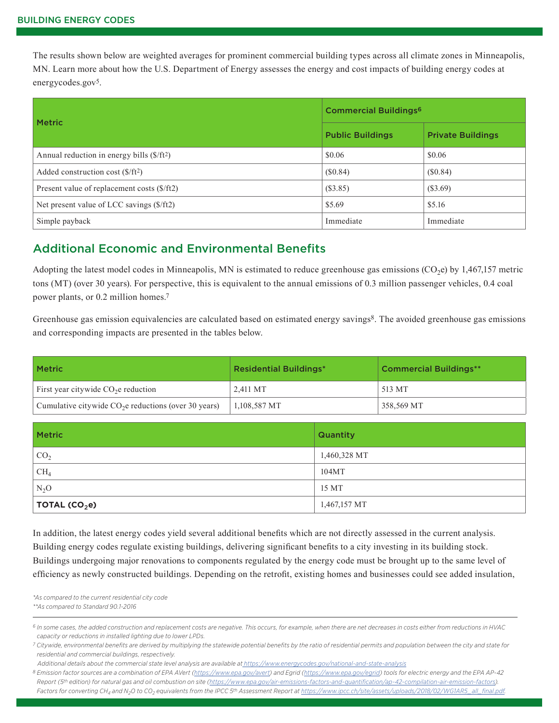The results shown below are weighted averages for prominent commercial building types across all climate zones in Minneapolis, MN. Learn more about how the U.S. Department of Energy assesses the energy and cost impacts of building energy codes at energycodes.gov<sup>5</sup>.

|                                                     | <b>Commercial Buildings<sup>6</sup></b> |                          |
|-----------------------------------------------------|-----------------------------------------|--------------------------|
| <b>Metric</b>                                       | <b>Public Buildings</b>                 | <b>Private Buildings</b> |
| Annual reduction in energy bills $(\frac{5}{ft^2})$ | \$0.06                                  | \$0.06                   |
| Added construction cost $(\frac{5}{ft^2})$          | (\$0.84)                                | (\$0.84)                 |
| Present value of replacement costs (\$/ft2)         | (S3.85)                                 | (\$3.69)                 |
| Net present value of LCC savings (\$/ft2)           | \$5.69                                  | \$5.16                   |
| Simple payback                                      | Immediate                               | Immediate                |

# Additional Economic and Environmental Benefits

Adopting the latest model codes in Minneapolis, MN is estimated to reduce greenhouse gas emissions  $(CO<sub>2</sub>e)$  by 1,467,157 metric tons (MT) (over 30 years). For perspective, this is equivalent to the annual emissions of 0.3 million passenger vehicles, 0.4 coal power plants, or 0.2 million homes.7

Greenhouse gas emission equivalencies are calculated based on estimated energy savings<sup>8</sup>. The avoided greenhouse gas emissions and corresponding impacts are presented in the tables below.

| <b>Metric</b>                                         | <b>Residential Buildings*</b> | <b>Commercial Buildings**</b> |
|-------------------------------------------------------|-------------------------------|-------------------------------|
| First year citywide $CO2e$ reduction                  | 2.411 MT                      | 513 MT                        |
| Cumulative citywide $CO2e$ reductions (over 30 years) | 1,108,587 MT                  | 358,569 MT                    |

| <b>Metric</b>     | <b>Quantity</b> |
|-------------------|-----------------|
| CO <sub>2</sub>   | 1,460,328 MT    |
| CH <sub>4</sub>   | 104MT           |
| $N_2O$            | 15 MT           |
| TOTAL (CO $_2$ e) | 1,467,157 MT    |

In addition, the latest energy codes yield several additional benefits which are not directly assessed in the current analysis. Building energy codes regulate existing buildings, delivering significant benefits to a city investing in its building stock. Buildings undergoing major renovations to components regulated by the energy code must be brought up to the same level of efficiency as newly constructed buildings. Depending on the retrofit, existing homes and businesses could see added insulation,

*\*As compared to the current residential city code \*\*As compared to Standard 90.1-2016*

*<sup>6</sup> In some cases, the added construction and replacement costs are negative. This occurs, for example, when there are net decreases in costs either from reductions in HVAC capacity or reductions in installed lighting due to lower LPDs.*

*<sup>7</sup> Citywide, environmental benefits are derived by multiplying the statewide potential benefits by the ratio of residential permits and population between the city and state for residential and commercial buildings, respectively.* 

*Additional details about the commercial state level analysis are available at https://www.energycodes.gov/national-and-state-analysis 8 Emission factor sources are a combination of EPA AVert (https://www.epa.gov/avert) and Egrid (https://www.epa.gov/egrid) tools for electric energy and the EPA AP-42 Report (5th edition) for natural gas and oil combustion on site (https://www.epa.gov/air-emissions-factors-and-quantification/ap-42-compilation-air-emission-factors).*  Factors for converting CH<sub>4</sub> and N<sub>2</sub>O to CO<sub>2</sub> equivalents from the IPCC 5<sup>th</sup> Assessment Report at https://www.ipcc.ch/site/assets/uploads/2018/02/WG1AR5\_all\_final.pdf.